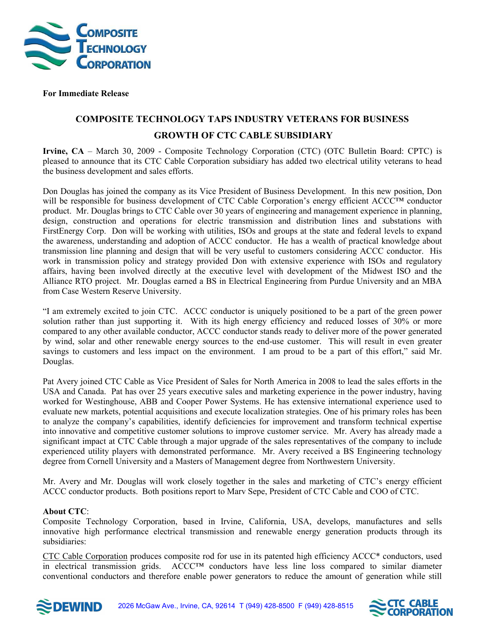

## **For Immediate Release**

## **COMPOSITE TECHNOLOGY TAPS INDUSTRY VETERANS FOR BUSINESS GROWTH OF CTC CABLE SUBSIDIARY**

**Irvine, CA** – March 30, 2009 - Composite Technology Corporation (CTC) (OTC Bulletin Board: CPTC) is pleased to announce that its CTC Cable Corporation subsidiary has added two electrical utility veterans to head the business development and sales efforts.

Don Douglas has joined the company as its Vice President of Business Development. In this new position, Don will be responsible for business development of CTC Cable Corporation's energy efficient ACCC™ conductor product. Mr. Douglas brings to CTC Cable over 30 years of engineering and management experience in planning, design, construction and operations for electric transmission and distribution lines and substations with FirstEnergy Corp. Don will be working with utilities, ISOs and groups at the state and federal levels to expand the awareness, understanding and adoption of ACCC conductor. He has a wealth of practical knowledge about transmission line planning and design that will be very useful to customers considering ACCC conductor. His work in transmission policy and strategy provided Don with extensive experience with ISOs and regulatory affairs, having been involved directly at the executive level with development of the Midwest ISO and the Alliance RTO project. Mr. Douglas earned a BS in Electrical Engineering from Purdue University and an MBA from Case Western Reserve University.

"I am extremely excited to join CTC. ACCC conductor is uniquely positioned to be a part of the green power solution rather than just supporting it. With its high energy efficiency and reduced losses of 30% or more compared to any other available conductor, ACCC conductor stands ready to deliver more of the power generated by wind, solar and other renewable energy sources to the end-use customer. This will result in even greater savings to customers and less impact on the environment. I am proud to be a part of this effort," said Mr. Douglas.

Pat Avery joined CTC Cable as Vice President of Sales for North America in 2008 to lead the sales efforts in the USA and Canada. Pat has over 25 years executive sales and marketing experience in the power industry, having worked for Westinghouse, ABB and Cooper Power Systems. He has extensive international experience used to evaluate new markets, potential acquisitions and execute localization strategies. One of his primary roles has been to analyze the company's capabilities, identify deficiencies for improvement and transform technical expertise into innovative and competitive customer solutions to improve customer service. Mr. Avery has already made a significant impact at CTC Cable through a major upgrade of the sales representatives of the company to include experienced utility players with demonstrated performance. Mr. Avery received a BS Engineering technology degree from Cornell University and a Masters of Management degree from Northwestern University.

Mr. Avery and Mr. Douglas will work closely together in the sales and marketing of CTC's energy efficient ACCC conductor products. Both positions report to Marv Sepe, President of CTC Cable and COO of CTC.

## **About CTC**:

Composite Technology Corporation, based in Irvine, California, USA, develops, manufactures and sells innovative high performance electrical transmission and renewable energy generation products through its subsidiaries:

CTC Cable Corporation produces composite rod for use in its patented high efficiency ACCC\* conductors, used in electrical transmission grids. ACCC™ conductors have less line loss compared to similar diameter conventional conductors and therefore enable power generators to reduce the amount of generation while still